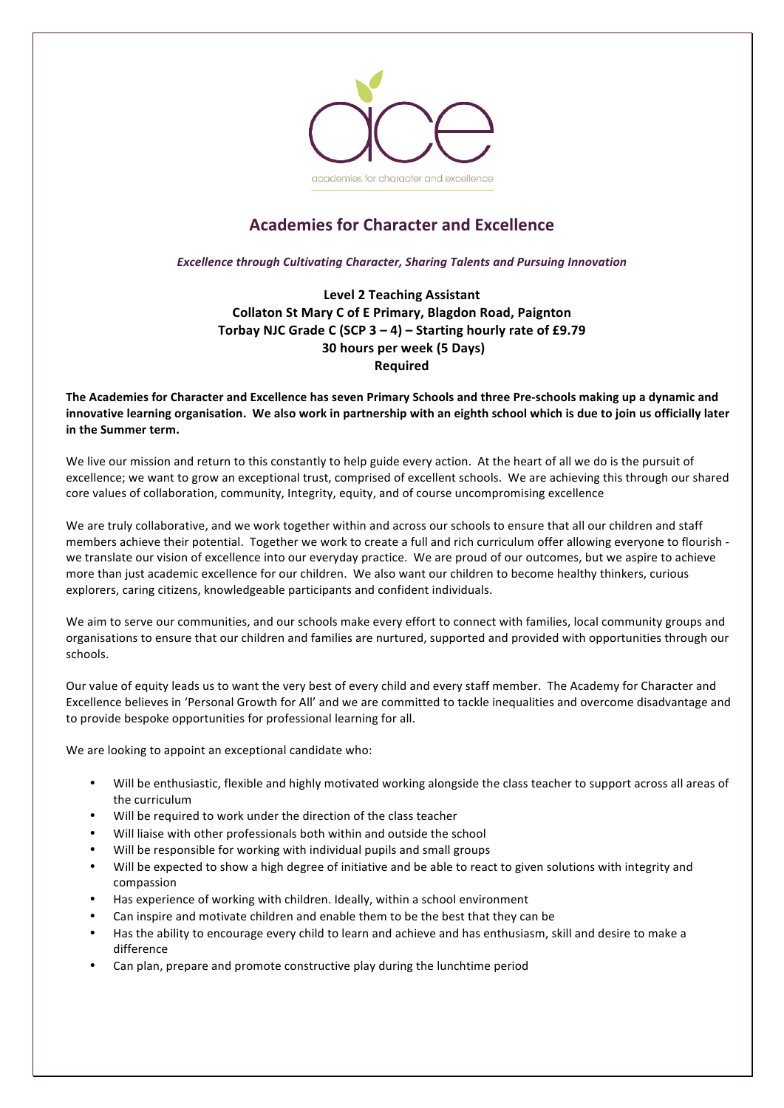

## **Academies for Character and Excellence**

**Excellence through Cultivating Character, Sharing Talents and Pursuing Innovation** 

**Level 2 Teaching Assistant Collaton St Mary C of E Primary, Blagdon Road, Paignton** Torbay NJC Grade C (SCP 3 - 4) - Starting hourly rate of £9.79 **30 hours per week (5 Days) Required** 

The Academies for Character and Excellence has seven Primary Schools and three Pre-schools making up a dynamic and innovative learning organisation. We also work in partnership with an eighth school which is due to join us officially later **in the Summer term.** 

We live our mission and return to this constantly to help guide every action. At the heart of all we do is the pursuit of excellence; we want to grow an exceptional trust, comprised of excellent schools. We are achieving this through our shared core values of collaboration, community, Integrity, equity, and of course uncompromising excellence

We are truly collaborative, and we work together within and across our schools to ensure that all our children and staff members achieve their potential. Together we work to create a full and rich curriculum offer allowing everyone to flourish we translate our vision of excellence into our everyday practice. We are proud of our outcomes, but we aspire to achieve more than just academic excellence for our children. We also want our children to become healthy thinkers, curious explorers, caring citizens, knowledgeable participants and confident individuals.

We aim to serve our communities, and our schools make every effort to connect with families, local community groups and organisations to ensure that our children and families are nurtured, supported and provided with opportunities through our schools. 

Our value of equity leads us to want the very best of every child and every staff member. The Academy for Character and Excellence believes in 'Personal Growth for All' and we are committed to tackle inequalities and overcome disadvantage and to provide bespoke opportunities for professional learning for all.

We are looking to appoint an exceptional candidate who:

- Will be enthusiastic, flexible and highly motivated working alongside the class teacher to support across all areas of the curriculum
- Will be required to work under the direction of the class teacher
- Will liaise with other professionals both within and outside the school
- Will be responsible for working with individual pupils and small groups
- Will be expected to show a high degree of initiative and be able to react to given solutions with integrity and compassion
- Has experience of working with children. Ideally, within a school environment
- Can inspire and motivate children and enable them to be the best that they can be
- Has the ability to encourage every child to learn and achieve and has enthusiasm, skill and desire to make a difference
- Can plan, prepare and promote constructive play during the lunchtime period